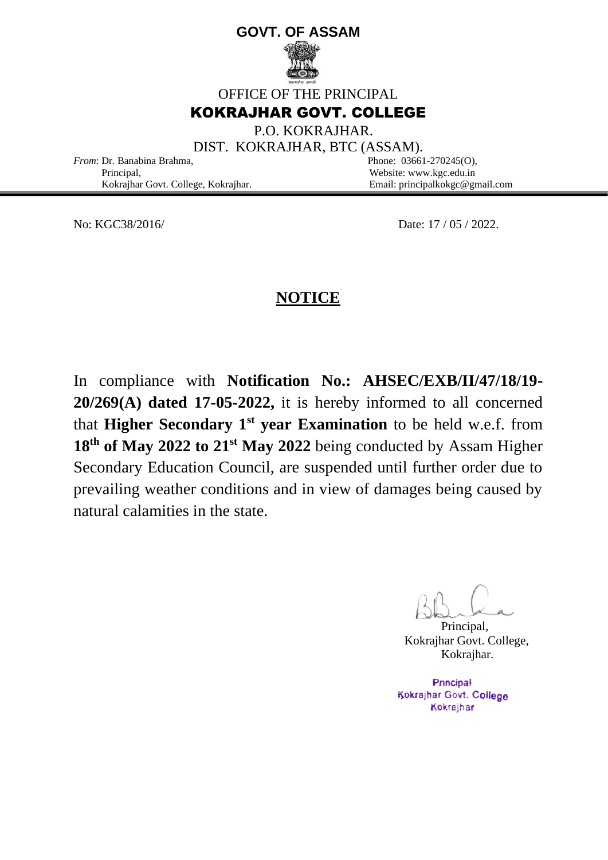# **GOVT. OF ASSAM**



OFFICE OF THE PRINCIPAL

## KOKRAJHAR GOVT. COLLEGE

P.O. KOKRAJHAR.

DIST. KOKRAJHAR, BTC (ASSAM).

*From*: Dr. Banabina Brahma, Phone: 03661-270245(O), Principal, Website: www.kgc.edu.in

Kokrajhar Govt. College, Kokrajhar. Email: principalkokgc@gmail.com

No: KGC38/2016/ Date: 17 / 05 / 2022.

# **NOTICE**

In compliance with **Notification No.: AHSEC/EXB/II/47/18/19- 20/269(A) dated 17-05-2022,** it is hereby informed to all concerned that **Higher Secondary 1st year Examination** to be held w.e.f. from 18<sup>th</sup> of May 2022 to 21<sup>st</sup> May 2022 being conducted by Assam Higher Secondary Education Council, are suspended until further order due to prevailing weather conditions and in view of damages being caused by natural calamities in the state.

Principal, Kokrajhar Govt. College, Kokrajhar.

Principal Kokrajhar Govt. College Kokrajhar